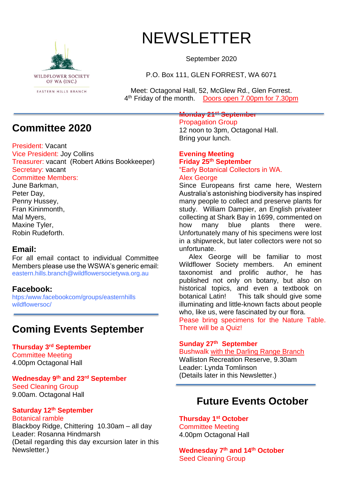

# NEWSLETTER

September 2020

P.O. Box 111, GLEN FORREST, WA 6071

Meet: Octagonal Hall, 52, McGlew Rd., Glen Forrest. 4<sup>th</sup> Friday of the month. Doors open 7.00pm for 7.30pm

## **Committee 2020**

President: Vacant

Vice President: Joy Collins Treasurer: vacant (Robert Atkins Bookkeeper) Secretary: vacant Committee Members:

June Barkman, Peter Day, Penny Hussey, Fran Kininmonth, Mal Myers, Maxine Tyler, Robin Rudeforth.

#### **Email:**

For all email contact to individual Committee Members please use the WSWA's generic email: eastern.hills.branch@wildflowersocietywa.org.au

### **Facebook:**

htps:/www.facebookcom/groups/easternhills wildflowersoc/

## **Coming Events September**

**Thursday 3rd September** Committee Meeting 4.00pm Octagonal Hall

#### **Wednesday 9 th and 23rd September** Seed Cleaning Group

9.00am. Octagonal Hall

### **Saturday 12th September**

Botanical ramble

Blackboy Ridge, Chittering 10.30am – all day Leader: Rosanna Hindmarsh (Detail regarding this day excursion later in this Newsletter.)

#### **Monday 21st September**

Propagation Group 12 noon to 3pm, Octagonal Hall. Bring your lunch.

#### **Evening Meeting Friday 25th September** "Early Botanical Collectors in WA.

## Alex George

Since Europeans first came here, Western Australia's astonishing biodiversity has inspired many people to collect and preserve plants for study. William Dampier, an English privateer collecting at Shark Bay in 1699, commented on how many blue plants there were. Unfortunately many of his specimens were lost in a shipwreck, but later collectors were not so unfortunate.

 Alex George will be familiar to most Wildflower Society members. An eminent taxonomist and prolific author, he has published not only on botany, but also on historical topics, and even a textbook on botanical Latin! This talk should give some illuminating and little-known facts about people who, like us, were fascinated by our flora.

Pease bring specimens for the Nature Table. There will be a Quiz!

### **Sunday 27th September**

Bushwalk with the Darling Range Branch Walliston Recreation Reserve, 9.30am Leader: Lynda Tomlinson (Details later in this Newsletter.)

## **Future Events October**

**Thursday 1 st October** Committee Meeting 4.00pm Octagonal Hall

**Wednesday 7 th and 14th October** Seed Cleaning Group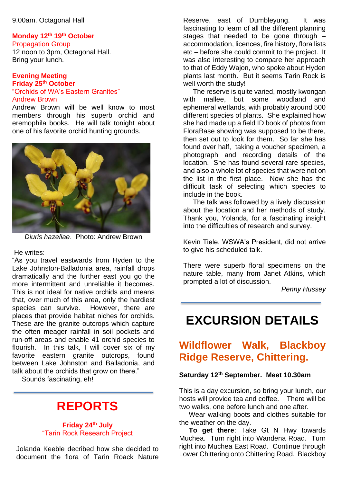9.00am. Octagonal Hall

### **Monday 12th 19th October**

Propagation Group 12 noon to 3pm, Octagonal Hall. Bring your lunch.

#### **Evening Meeting Friday 25th October** "Orchids of WA's Eastern Granites" Andrew Brown

Andrew Brown will be well know to most members through his superb orchid and eremophila books. He will talk tonight about one of his favorite orchid hunting grounds.



*Diuris hazeliae*. Photo: Andrew Brown

He writes:

"As you travel eastwards from Hyden to the Lake Johnston-Balladonia area, rainfall drops dramatically and the further east you go the more intermittent and unreliable it becomes. This is not ideal for native orchids and means that, over much of this area, only the hardiest species can survive. However, there are places that provide habitat niches for orchids. These are the granite outcrops which capture the often meager rainfall in soil pockets and run-off areas and enable 41 orchid species to flourish. In this talk, I will cover six of my favorite eastern granite outcrops, found between Lake Johnston and Balladonia, and talk about the orchids that grow on there."

Sounds fascinating, eh!

## **REPORTS**

#### **Friday 24th July** "Tarin Rock Research Project

Jolanda Keeble decribed how she decided to document the flora of Tarin Roack Nature

Reserve, east of Dumbleyung. It was fascinating to learn of all the different planning stages that needed to be gone through – accommodation, licences, fire history, flora lists etc – before she could commit to the project. It was also interesting to compare her approach to that of Eddy Wajon, who spoke about Hyden plants last month. But it seems Tarin Rock is well worth the study!

 The reserve is quite varied, mostly kwongan with mallee, but some woodland and ephemeral wetlands, with probably around 500 different species of plants. She explained how she had made up a field ID book of photos from FloraBase showing was supposed to be there, then set out to look for them. So far she has found over half, taking a voucher specimen, a photograph and recording details of the location. She has found several rare species, and also a whole lot of species that were not on the list in the first place. Now she has the difficult task of selecting which species to include in the book.

 The talk was followed by a lively discussion about the location and her methods of study. Thank you, Yolanda, for a fascinating insight into the difficulties of research and survey.

Kevin Tiele, WSWA's President, did not arrive to give his scheduled talk.

There were superb floral specimens on the nature table, many from Janet Atkins, which prompted a lot of discussion.

*Penny Hussey*

## **EXCURSION DETAILS**

## **Wildflower Walk, Blackboy Ridge Reserve, Chittering.**

#### **Saturday 12th September. Meet 10.30am**

This is a day excursion, so bring your lunch, our hosts will provide tea and coffee. There will be two walks, one before lunch and one after.

 Wear walking boots and clothes suitable for the weather on the day.

 **To get there**: Take Gt N Hwy towards Muchea. Turn right into Wandena Road. Turn right into Muchea East Road. Continue through Lower Chittering onto Chittering Road. Blackboy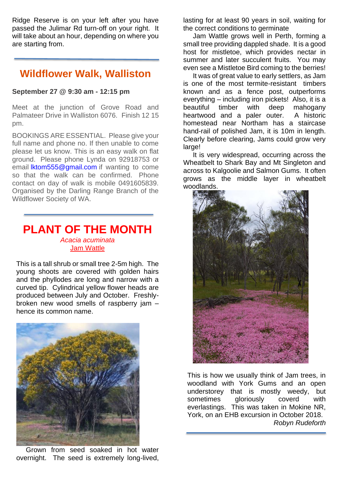Ridge Reserve is on your left after you have passed the Julimar Rd turn-off on your right. It will take about an hour, depending on where you are starting from.

### **Wildflower Walk, Walliston**

#### **September 27 @ 9:30 am - 12:15 pm**

Meet at the junction of Grove Road and Palmateer Drive in Walliston 6076. Finish 12 15 pm.

BOOKINGS ARE ESSENTIAL. Please give your full name and phone no. If then unable to come please let us know. This is an easy walk on flat ground. Please phone Lynda on 92918753 or email [lktom555@gmail.com](mailto:lktom555@gmail.com) if wanting to come so that the walk can be confirmed. Phone contact on day of walk is mobile 0491605839. Organised by the Darling Range Branch of the Wildflower Society of WA.

### **PLANT OF THE MONTH** *Acacia acuminata* Jam Wattle

This is a tall shrub or small tree 2-5m high. The young shoots are covered with golden hairs and the phyllodes are long and narrow with a curved tip. Cylindrical yellow flower heads are produced between July and October. Freshlybroken new wood smells of raspberry jam – hence its common name.



 Grown from seed soaked in hot water overnight. The seed is extremely long-lived,

lasting for at least 90 years in soil, waiting for the correct conditions to germinate

 Jam Wattle grows well in Perth, forming a small tree providing dappled shade. It is a good host for mistletoe, which provides nectar in summer and later succulent fruits. You may even see a Mistletoe Bird coming to the berries!

 It was of great value to early settlers, as Jam is one of the most termite-resistant timbers known and as a fence post, outperforms everything – including iron pickets! Also, it is a beautiful timber with deep mahogany heartwood and a paler outer. A historic homestead near Northam has a staircase hand-rail of polished Jam, it is 10m in length. Clearly before clearing, Jams could grow very large!

 It is very widespread, occurring across the Wheatbelt to Shark Bay and Mt Singleton and across to Kalgoolie and Salmon Gums. It often grows as the middle layer in wheatbelt woodlands.



This is how we usually think of Jam trees, in woodland with York Gums and an open understorey that is mostly weedy, but sometimes gloriously coverd with everlastings. This was taken in Mokine NR, York, on an EHB excursion in October 2018. *Robyn Rudeforth*